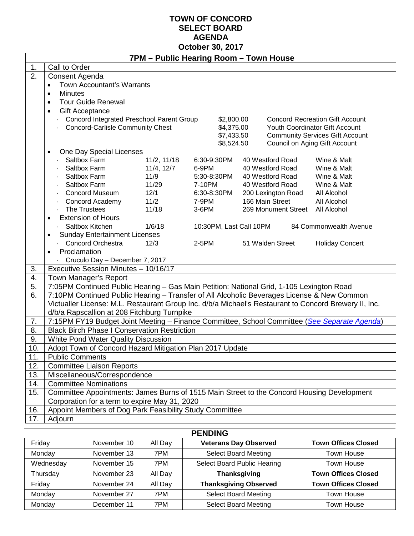### **TOWN OF CONCORD SELECT BOARD AGENDA October 30, 2017**

|                  | 7PM - Public Hearing Room - Town House                                                                                                      |             |             |            |                         |                                 |                                        |  |
|------------------|---------------------------------------------------------------------------------------------------------------------------------------------|-------------|-------------|------------|-------------------------|---------------------------------|----------------------------------------|--|
| 1.               | Call to Order                                                                                                                               |             |             |            |                         |                                 |                                        |  |
| $\overline{2}$ . | Consent Agenda                                                                                                                              |             |             |            |                         |                                 |                                        |  |
|                  | <b>Town Accountant's Warrants</b><br>$\bullet$                                                                                              |             |             |            |                         |                                 |                                        |  |
|                  | <b>Minutes</b><br>$\bullet$                                                                                                                 |             |             |            |                         |                                 |                                        |  |
|                  | <b>Tour Guide Renewal</b><br>$\bullet$                                                                                                      |             |             |            |                         |                                 |                                        |  |
|                  | <b>Gift Acceptance</b><br>$\bullet$                                                                                                         |             |             |            |                         |                                 |                                        |  |
|                  | Concord Integrated Preschool Parent Group                                                                                                   |             |             | \$2,800.00 |                         |                                 | <b>Concord Recreation Gift Account</b> |  |
|                  | <b>Concord-Carlisle Community Chest</b>                                                                                                     |             |             | \$4,375.00 |                         |                                 | <b>Youth Coordinator Gift Account</b>  |  |
|                  |                                                                                                                                             |             |             | \$7,433.50 |                         |                                 | <b>Community Services Gift Account</b> |  |
|                  | One Day Special Licenses<br>$\bullet$                                                                                                       |             |             | \$8,524.50 |                         | Council on Aging Gift Account   |                                        |  |
|                  | Saltbox Farm                                                                                                                                | 11/2, 11/18 | 6:30-9:30PM |            |                         | 40 Westford Road                | Wine & Malt                            |  |
|                  | Saltbox Farm                                                                                                                                | 11/4, 12/7  | 6-9PM       |            |                         | 40 Westford Road                | Wine & Malt                            |  |
|                  | Saltbox Farm                                                                                                                                | 11/9        | 5:30-8:30PM |            |                         | 40 Westford Road                | Wine & Malt                            |  |
|                  | Saltbox Farm                                                                                                                                | 11/29       | 7-10PM      |            |                         | 40 Westford Road                | Wine & Malt                            |  |
|                  | <b>Concord Museum</b>                                                                                                                       | 12/1        | 6:30-8:30PM |            |                         | 200 Lexington Road              | All Alcohol                            |  |
|                  | Concord Academy                                                                                                                             | 11/2        | 7-9PM       |            |                         | 166 Main Street                 | All Alcohol                            |  |
|                  | The Trustees                                                                                                                                | 11/18       | 3-6PM       |            |                         | 269 Monument Street All Alcohol |                                        |  |
|                  | <b>Extension of Hours</b><br>$\bullet$                                                                                                      |             |             |            |                         |                                 |                                        |  |
|                  | Saltbox Kitchen                                                                                                                             | 1/6/18      |             |            | 10:30PM, Last Call 10PM |                                 | 84 Commonwealth Avenue                 |  |
|                  | <b>Sunday Entertainment Licenses</b><br>$\bullet$                                                                                           |             |             |            |                         |                                 |                                        |  |
|                  | <b>Concord Orchestra</b>                                                                                                                    | 12/3        | 2-5PM       |            |                         | 51 Walden Street                | <b>Holiday Concert</b>                 |  |
|                  | Proclamation<br>$\bullet$                                                                                                                   |             |             |            |                         |                                 |                                        |  |
|                  | Cruculo Day - December 7, 2017                                                                                                              |             |             |            |                         |                                 |                                        |  |
| 3.               | Executive Session Minutes - 10/16/17                                                                                                        |             |             |            |                         |                                 |                                        |  |
| 4.               | Town Manager's Report                                                                                                                       |             |             |            |                         |                                 |                                        |  |
| 5.               | 7:05PM Continued Public Hearing - Gas Main Petition: National Grid, 1-105 Lexington Road                                                    |             |             |            |                         |                                 |                                        |  |
| 6.               | 7:10PM Continued Public Hearing - Transfer of All Alcoholic Beverages License & New Common                                                  |             |             |            |                         |                                 |                                        |  |
|                  | Victualler License: M.L. Restaurant Group Inc. d/b/a Michael's Restaurant to Concord Brewery II, Inc.                                       |             |             |            |                         |                                 |                                        |  |
|                  | d/b/a Rapscallion at 208 Fitchburg Turnpike                                                                                                 |             |             |            |                         |                                 |                                        |  |
| 7.<br>8.         | 7:15PM FY19 Budget Joint Meeting - Finance Committee, School Committee (See Separate Agenda)                                                |             |             |            |                         |                                 |                                        |  |
| 9.               | <b>Black Birch Phase I Conservation Restriction</b>                                                                                         |             |             |            |                         |                                 |                                        |  |
| 10.              | White Pond Water Quality Discussion                                                                                                         |             |             |            |                         |                                 |                                        |  |
| 11.              | Adopt Town of Concord Hazard Mitigation Plan 2017 Update<br><b>Public Comments</b>                                                          |             |             |            |                         |                                 |                                        |  |
| 12.              | <b>Committee Liaison Reports</b>                                                                                                            |             |             |            |                         |                                 |                                        |  |
| 13.              | Miscellaneous/Correspondence                                                                                                                |             |             |            |                         |                                 |                                        |  |
| 14.              | <b>Committee Nominations</b>                                                                                                                |             |             |            |                         |                                 |                                        |  |
| 15.              |                                                                                                                                             |             |             |            |                         |                                 |                                        |  |
|                  | Committee Appointments: James Burns of 1515 Main Street to the Concord Housing Development<br>Corporation for a term to expire May 31, 2020 |             |             |            |                         |                                 |                                        |  |
| 16.              | Appoint Members of Dog Park Feasibility Study Committee                                                                                     |             |             |            |                         |                                 |                                        |  |
| 17.              | Adjourn                                                                                                                                     |             |             |            |                         |                                 |                                        |  |

| <b>PENDING</b> |             |         |                              |                            |  |  |
|----------------|-------------|---------|------------------------------|----------------------------|--|--|
| Friday         | November 10 | All Day | <b>Veterans Day Observed</b> | <b>Town Offices Closed</b> |  |  |
| Monday         | November 13 | 7PM     | <b>Select Board Meeting</b>  | Town House                 |  |  |
| Wednesday      | November 15 | 7PM     | Select Board Public Hearing  | <b>Town House</b>          |  |  |
| Thursday       | November 23 | All Day | <b>Thanksgiving</b>          | <b>Town Offices Closed</b> |  |  |
| Friday         | November 24 | All Day | <b>Thanksgiving Observed</b> | <b>Town Offices Closed</b> |  |  |
| Monday         | November 27 | 7PM     | <b>Select Board Meeting</b>  | Town House                 |  |  |
| Monday         | December 11 | 7PM     | <b>Select Board Meeting</b>  | <b>Town House</b>          |  |  |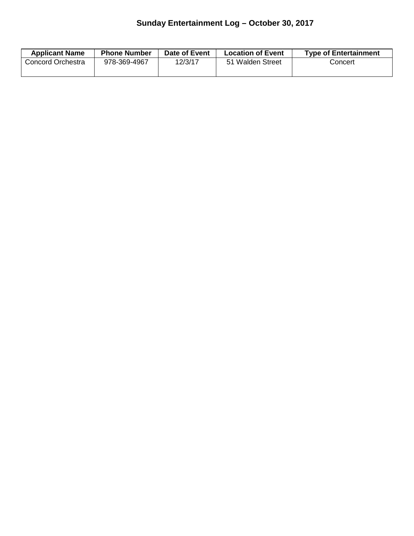## **Sunday Entertainment Log – October 30, 2017**

| <b>Applicant Name</b> | <b>Phone Number</b> | Date of Event | <b>Location of Event</b> | <b>Type of Entertainment</b> |
|-----------------------|---------------------|---------------|--------------------------|------------------------------|
| Concord Orchestra     | 978-369-4967        | 12/3/17       | 51 Walden Street         | Concert                      |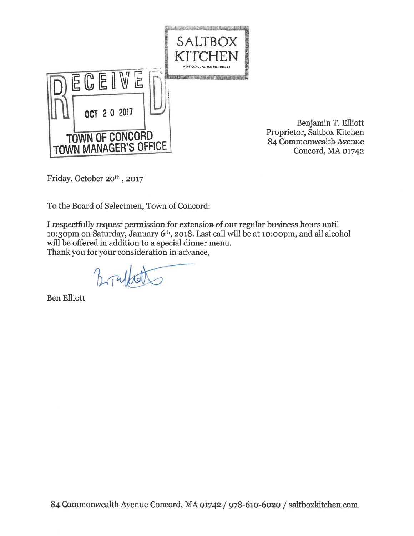

Benjamin T. Elliott Proprietor, Saltbox Kitchen 84 Commonwealth Avenue Concord, MA 01742

Friday, October 20th, 2017

To the Board of Selectmen, Town of Concord:

I respectfully request permission for extension of our regular business hours until 10:30pm on Saturday, January 6<sup>th</sup>, 2018. Last call will be at 10:00pm, and all alcohol will be offered in addition to a special dinner menu. Thank you for your consideration in advance,

**Ben Elliott**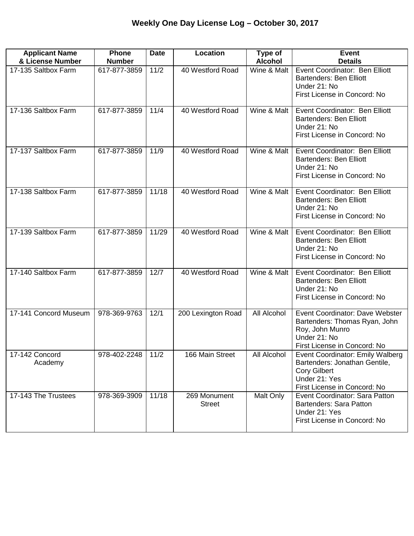| <b>Applicant Name</b><br>& License Number | <b>Phone</b><br><b>Number</b> | <b>Date</b> | Location                      | Type of<br><b>Alcohol</b> | <b>Event</b><br><b>Details</b>                                                                                                            |
|-------------------------------------------|-------------------------------|-------------|-------------------------------|---------------------------|-------------------------------------------------------------------------------------------------------------------------------------------|
| 17-135 Saltbox Farm                       | 617-877-3859                  | 11/2        | 40 Westford Road              | Wine & Malt               | Event Coordinator: Ben Elliott<br><b>Bartenders: Ben Elliott</b><br>Under 21: No<br>First License in Concord: No                          |
| 17-136 Saltbox Farm                       | 617-877-3859                  | 11/4        | 40 Westford Road              | Wine & Malt               | Event Coordinator: Ben Elliott<br><b>Bartenders: Ben Elliott</b><br>Under 21: No<br>First License in Concord: No                          |
| 17-137 Saltbox Farm                       | 617-877-3859                  | 11/9        | 40 Westford Road              | Wine & Malt               | Event Coordinator: Ben Elliott<br><b>Bartenders: Ben Elliott</b><br>Under 21: No<br>First License in Concord: No                          |
| 17-138 Saltbox Farm                       | 617-877-3859                  | 11/18       | 40 Westford Road              | Wine & Malt               | Event Coordinator: Ben Elliott<br><b>Bartenders: Ben Elliott</b><br>Under 21: No<br>First License in Concord: No                          |
| 17-139 Saltbox Farm                       | 617-877-3859                  | 11/29       | 40 Westford Road              | Wine & Malt               | Event Coordinator: Ben Elliott<br><b>Bartenders: Ben Elliott</b><br>Under 21: No<br>First License in Concord: No                          |
| 17-140 Saltbox Farm                       | 617-877-3859                  | 12/7        | 40 Westford Road              | Wine & Malt               | Event Coordinator: Ben Elliott<br><b>Bartenders: Ben Elliott</b><br>Under 21: No<br>First License in Concord: No                          |
| 17-141 Concord Museum                     | 978-369-9763                  | 12/1        | 200 Lexington Road            | All Alcohol               | Event Coordinator: Dave Webster<br>Bartenders: Thomas Ryan, John<br>Roy, John Munro<br>Under 21: No<br>First License in Concord: No       |
| 17-142 Concord<br>Academy                 | 978-402-2248   11/2           |             | 166 Main Street               | All Alcohol               | Event Coordinator: Emily Walberg<br>Bartenders: Jonathan Gentile,<br><b>Cory Gilbert</b><br>Under 21: Yes<br>First License in Concord: No |
| 17-143 The Trustees                       | 978-369-3909                  | 11/18       | 269 Monument<br><b>Street</b> | Malt Only                 | Event Coordinator: Sara Patton<br>Bartenders: Sara Patton<br>Under 21: Yes<br>First License in Concord: No                                |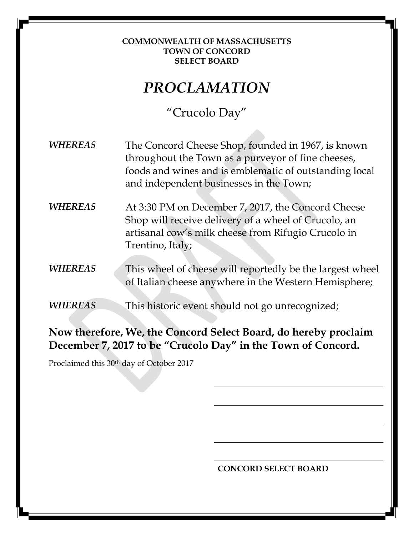### **COMMONWEALTH OF MASSACHUSETTS TOWN OF CONCORD SELECT BOARD**

# *PROCLAMATION*

## "Crucolo Day"

*WHEREAS* The Concord Cheese Shop, founded in 1967, is known throughout the Town as a purveyor of fine cheeses, foods and wines and is emblematic of outstanding local and independent businesses in the Town;

*WHEREAS* At 3:30 PM on December 7, 2017, the Concord Cheese Shop will receive delivery of a wheel of Crucolo, an artisanal cow's milk cheese from Rifugio Crucolo in Trentino, Italy;

*WHEREAS* This wheel of cheese will reportedly be the largest wheel of Italian cheese anywhere in the Western Hemisphere;

*WHEREAS* This historic event should not go unrecognized;

## **Now therefore, We, the Concord Select Board, do hereby proclaim December 7, 2017 to be "Crucolo Day" in the Town of Concord.**

Proclaimed this 30th day of October 2017

**CONCORD SELECT BOARD**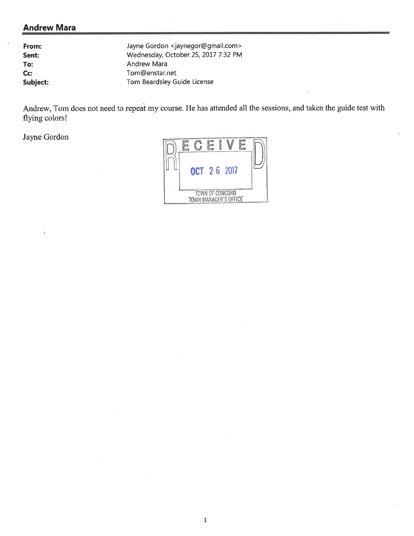### **Andrew Mara**

| From:                    | Jayne Gordon <jaynegor@gmail.com></jaynegor@gmail.com> |
|--------------------------|--------------------------------------------------------|
| Sent:                    | Wednesday, October 25, 2017 7:32 PM                    |
| To:                      | <b>Andrew Mara</b>                                     |
| $\mathsf{C}\mathsf{C}$ : | Tom@enstar.net                                         |
| Subject:                 | Tom Beardsley Guide License                            |

Andrew, Tom does not need to repeat my course. He has attended all the sessions, and taken the guide test with flying colors!

Jayne Gordon

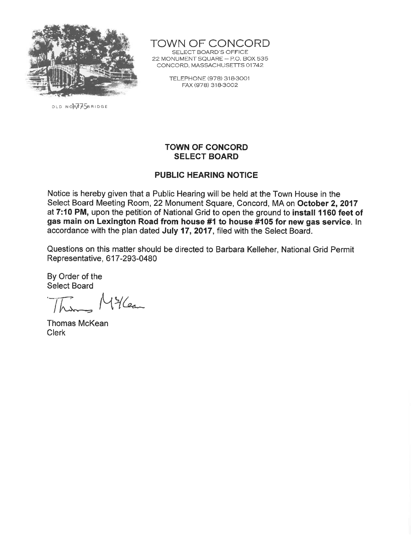

OLD NORTH5BRIDGE

TOWN OF CONCORD

SELECT BOARD'S OFFICE 22 MONUMENT SQUARE - P.O. BOX 535 CONCORD, MASSACHUSETTS 01742

> TELEPHONE (978) 318-3001 FAX (978) 318-3002

### **TOWN OF CONCORD SELECT BOARD**

### **PUBLIC HEARING NOTICE**

Notice is hereby given that a Public Hearing will be held at the Town House in the Select Board Meeting Room, 22 Monument Square, Concord, MA on October 2, 2017 at 7:10 PM, upon the petition of National Grid to open the ground to install 1160 feet of gas main on Lexington Road from house #1 to house #105 for new gas service. In accordance with the plan dated July 17, 2017, filed with the Select Board.

Questions on this matter should be directed to Barbara Kelleher, National Grid Permit Representative, 617-293-0480

By Order of the **Select Board** 

Millean  $h_{\lambda}$ 

**Thomas McKean Clerk**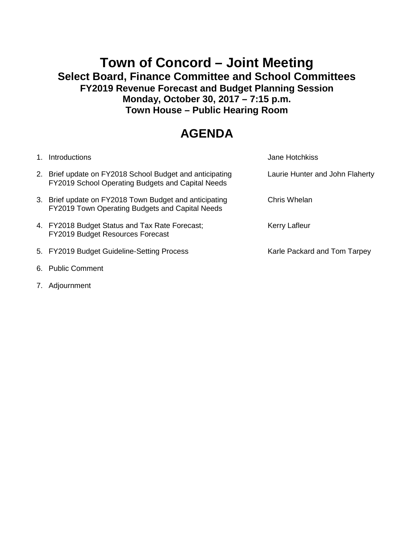### **Town of Concord – Joint Meeting Select Board, Finance Committee and School Committees FY2019 Revenue Forecast and Budget Planning Session Monday, October 30, 2017 – 7:15 p.m. Town House – Public Hearing Room**

## **AGENDA**

| 1. | Introductions                                                                                                 | <b>Jane Hotchkiss</b>           |
|----|---------------------------------------------------------------------------------------------------------------|---------------------------------|
|    | 2. Brief update on FY2018 School Budget and anticipating<br>FY2019 School Operating Budgets and Capital Needs | Laurie Hunter and John Flaherty |
|    | 3. Brief update on FY2018 Town Budget and anticipating<br>FY2019 Town Operating Budgets and Capital Needs     | Chris Whelan                    |
|    | 4. FY2018 Budget Status and Tax Rate Forecast;<br>FY2019 Budget Resources Forecast                            | Kerry Lafleur                   |
|    | 5. FY2019 Budget Guideline-Setting Process                                                                    | Karle Packard and Tom Tarpey    |
|    | 6. Public Comment                                                                                             |                                 |

7. Adjournment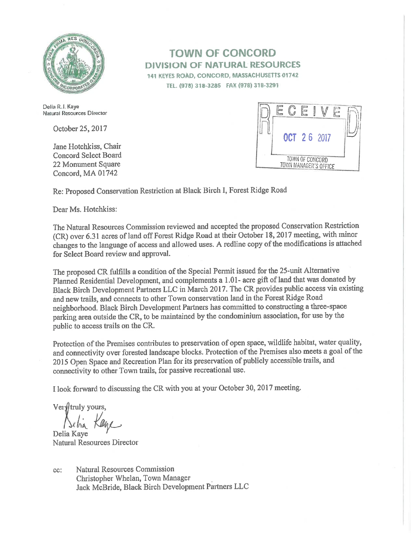

Delia R.J. Kaye Natural Resources Director

October 25, 2017

Jane Hotchkiss, Chair **Concord Select Board** 22 Monument Square Concord, MA 01742

### **TOWN OF CONCORD DIVISION OF NATURAL RESOURCES** 141 KEYES ROAD, CONCORD, MASSACHUSETTS 01742

TEL. (978) 318-3285 FAX (978) 318-3291



Re: Proposed Conservation Restriction at Black Birch I, Forest Ridge Road

Dear Ms. Hotchkiss:

The Natural Resources Commission reviewed and accepted the proposed Conservation Restriction (CR) over 6.31 acres of land off Forest Ridge Road at their October 18, 2017 meeting, with minor changes to the language of access and allowed uses. A redline copy of the modifications is attached for Select Board review and approval.

The proposed CR fulfills a condition of the Special Permit issued for the 25-unit Alternative Planned Residential Development, and complements a 1.01- acre gift of land that was donated by Black Birch Development Partners LLC in March 2017. The CR provides public access via existing and new trails, and connects to other Town conservation land in the Forest Ridge Road neighborhood. Black Birch Development Partners has committed to constructing a three-space parking area outside the CR, to be maintained by the condominium association, for use by the public to access trails on the CR.

Protection of the Premises contributes to preservation of open space, wildlife habitat, water quality, and connectivity over forested landscape blocks. Protection of the Premises also meets a goal of the 2015 Open Space and Recreation Plan for its preservation of publicly accessible trails, and connectivity to other Town trails, for passive recreational use.

I look forward to discussing the CR with you at your October 30, 2017 meeting.

Verytruly yours,

Delia Kave Natural Resources Director

Natural Resources Commission cc: Christopher Whelan, Town Manager Jack McBride, Black Birch Development Partners LLC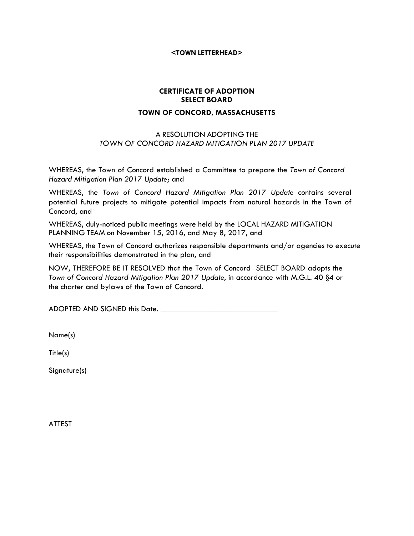#### **<TOWN LETTERHEAD>**

### **CERTIFICATE OF ADOPTION SELECT BOARD TOWN OF CONCORD, MASSACHUSETTS**

#### A RESOLUTION ADOPTING THE *TOWN OF CONCORD HAZARD MITIGATION PLAN 2017 UPDATE*

WHEREAS, the Town of Concord established a Committee to prepare the *Town of Concord Hazard Mitigation Plan 2017 Update*; and

WHEREAS, the *Town of Concord Hazard Mitigation Plan 2017 Update* contains several potential future projects to mitigate potential impacts from natural hazards in the Town of Concord, and

WHEREAS, duly-noticed public meetings were held by the LOCAL HAZARD MITIGATION PLANNING TEAM on November 15, 2016, and May 8, 2017, and

WHEREAS, the Town of Concord authorizes responsible departments and/or agencies to execute their responsibilities demonstrated in the plan, and

NOW, THEREFORE BE IT RESOLVED that the Town of Concord SELECT BOARD adopts the *Town of Concord Hazard Mitigation Plan 2017 Update*, in accordance with M.G.L. 40 §4 or the charter and bylaws of the Town of Concord.

ADOPTED AND SIGNED this Date. \_\_\_\_\_\_\_\_\_\_\_\_\_\_\_\_\_\_\_\_\_\_\_\_\_\_\_\_\_

Name(s)

Title(s)

Signature(s)

ATTEST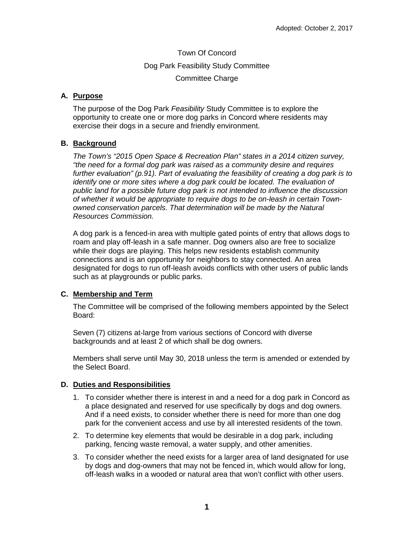Town Of Concord Dog Park Feasibility Study Committee Committee Charge

### **A. Purpose**

The purpose of the Dog Park *Feasibility* Study Committee is to explore the opportunity to create one or more dog parks in Concord where residents may exercise their dogs in a secure and friendly environment.

### **B. Background**

*The Town's "2015 Open Space & Recreation Plan" states in a 2014 citizen survey, "the need for a formal dog park was raised as a community desire and requires further evaluation" (p.91). Part of evaluating the feasibility of creating a dog park is to identify one or more sites where a dog park could be located. The evaluation of public land for a possible future dog park is not intended to influence the discussion of whether it would be appropriate to require dogs to be on-leash in certain Townowned conservation parcels. That determination will be made by the Natural Resources Commission.*

A dog park is a fenced-in area with multiple gated points of entry that allows dogs to roam and play off-leash in a safe manner. Dog owners also are free to socialize while their dogs are playing. This helps new residents establish community connections and is an opportunity for neighbors to stay connected. An area designated for dogs to run off-leash avoids conflicts with other users of public lands such as at playgrounds or public parks.

### **C. Membership and Term**

The Committee will be comprised of the following members appointed by the Select Board:

Seven (7) citizens at-large from various sections of Concord with diverse backgrounds and at least 2 of which shall be dog owners.

Members shall serve until May 30, 2018 unless the term is amended or extended by the Select Board.

### **D. Duties and Responsibilities**

- 1. To consider whether there is interest in and a need for a dog park in Concord as a place designated and reserved for use specifically by dogs and dog owners. And if a need exists, to consider whether there is need for more than one dog park for the convenient access and use by all interested residents of the town.
- 2. To determine key elements that would be desirable in a dog park, including parking, fencing waste removal, a water supply, and other amenities.
- 3. To consider whether the need exists for a larger area of land designated for use by dogs and dog-owners that may not be fenced in, which would allow for long, off-leash walks in a wooded or natural area that won't conflict with other users.